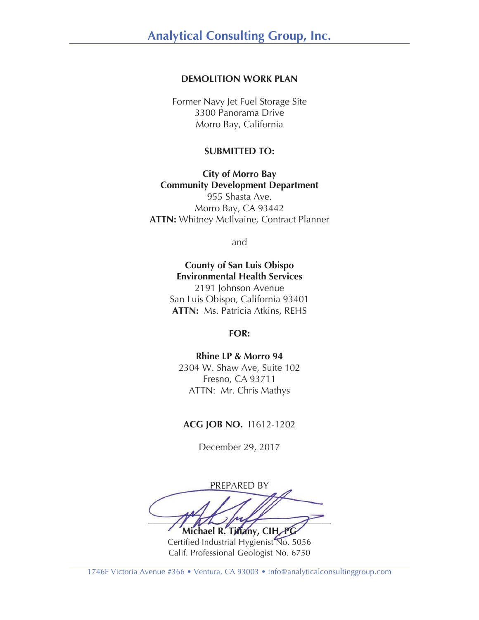### **DEMOLITION WORK PLAN**

Former Navy Jet Fuel Storage Site 3300 Panorama Drive Morro Bay, California

#### **SUBMITTED TO:**

**City of Morro Bay Community Development Department**  955 Shasta Ave. Morro Bay, CA 93442 **ATTN:** Whitney McIlvaine, Contract Planner

and

# **County of San Luis Obispo Environmental Health Services**

2191 Johnson Avenue San Luis Obispo, California 93401 **ATTN:** Ms. Patricia Atkins, REHS

**FOR:** 

### **Rhine LP & Morro 94**  2304 W. Shaw Ave, Suite 102 Fresno, CA 93711 ATTN:Mr. Chris Mathys

#### **ACG JOB NO.** I1612-1202

December 29, 2017

PREPARED BY  $\frac{1}{2}$ **Michael R. Tiffany, CIH, PG** 

Certified Industrial Hygienist No. 5056 Calif. Professional Geologist No. 6750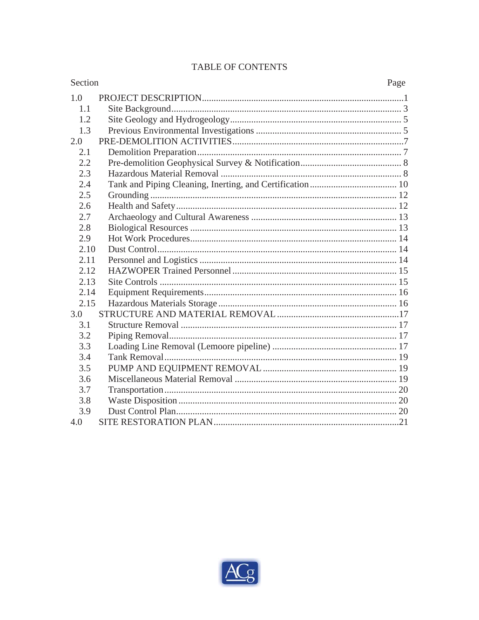# TABLE OF CONTENTS

| Section | Page |
|---------|------|
| 1.0     |      |
| 1.1     |      |
| 1.2     |      |
| 1.3     |      |
| 2.0     |      |
| 2.1     |      |
| 2.2     |      |
| 2.3     |      |
| 2.4     |      |
| 2.5     |      |
| 2.6     |      |
| 2.7     |      |
| 2.8     |      |
| 2.9     |      |
| 2.10    |      |
| 2.11    |      |
| 2.12    |      |
| 2.13    |      |
| 2.14    |      |
| 2.15    |      |
| 3.0     |      |
| 3.1     |      |
| 3.2     |      |
| 3.3     |      |
| 3.4     |      |
| 3.5     |      |
| 3.6     |      |
| 3.7     |      |
| 3.8     |      |
| 3.9     |      |
| 4.0     |      |

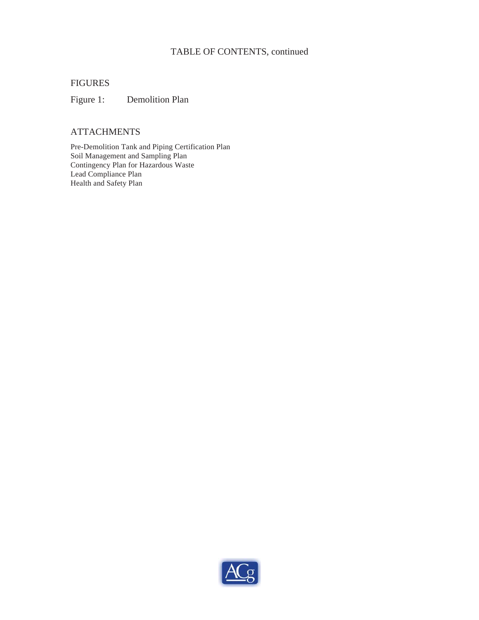### TABLE OF CONTENTS, continued

#### FIGURES

Figure 1: Demolition Plan

### **ATTACHMENTS**

Pre-Demolition Tank and Piping Certification Plan Soil Management and Sampling Plan Contingency Plan for Hazardous Waste Lead Compliance Plan Health and Safety Plan

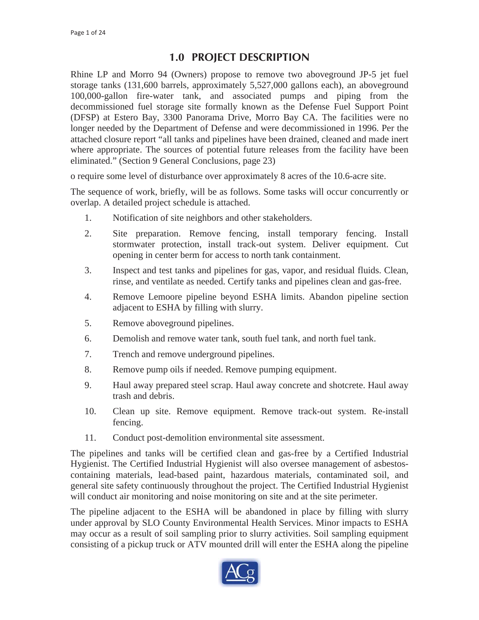# **1.0 PROJECT DESCRIPTION**

Rhine LP and Morro 94 (Owners) propose to remove two aboveground JP-5 jet fuel storage tanks (131,600 barrels, approximately 5,527,000 gallons each), an aboveground 100,000-gallon fire-water tank, and associated pumps and piping from the decommissioned fuel storage site formally known as the Defense Fuel Support Point (DFSP) at Estero Bay, 3300 Panorama Drive, Morro Bay CA. The facilities were no longer needed by the Department of Defense and were decommissioned in 1996. Per the attached closure report "all tanks and pipelines have been drained, cleaned and made inert where appropriate. The sources of potential future releases from the facility have been eliminated." (Section 9 General Conclusions, page 23)

o require some level of disturbance over approximately 8 acres of the 10.6-acre site.

The sequence of work, briefly, will be as follows. Some tasks will occur concurrently or overlap. A detailed project schedule is attached.

- 1. Notification of site neighbors and other stakeholders.
- 2. Site preparation. Remove fencing, install temporary fencing. Install stormwater protection, install track-out system. Deliver equipment. Cut opening in center berm for access to north tank containment.
- 3. Inspect and test tanks and pipelines for gas, vapor, and residual fluids. Clean, rinse, and ventilate as needed. Certify tanks and pipelines clean and gas-free.
- 4. Remove Lemoore pipeline beyond ESHA limits. Abandon pipeline section adjacent to ESHA by filling with slurry.
- 5. Remove aboveground pipelines.
- 6. Demolish and remove water tank, south fuel tank, and north fuel tank.
- 7. Trench and remove underground pipelines.
- 8. Remove pump oils if needed. Remove pumping equipment.
- 9. Haul away prepared steel scrap. Haul away concrete and shotcrete. Haul away trash and debris.
- 10. Clean up site. Remove equipment. Remove track-out system. Re-install fencing.
- 11. Conduct post-demolition environmental site assessment.

The pipelines and tanks will be certified clean and gas-free by a Certified Industrial Hygienist. The Certified Industrial Hygienist will also oversee management of asbestoscontaining materials, lead-based paint, hazardous materials, contaminated soil, and general site safety continuously throughout the project. The Certified Industrial Hygienist will conduct air monitoring and noise monitoring on site and at the site perimeter.

The pipeline adjacent to the ESHA will be abandoned in place by filling with slurry under approval by SLO County Environmental Health Services. Minor impacts to ESHA may occur as a result of soil sampling prior to slurry activities. Soil sampling equipment consisting of a pickup truck or ATV mounted drill will enter the ESHA along the pipeline

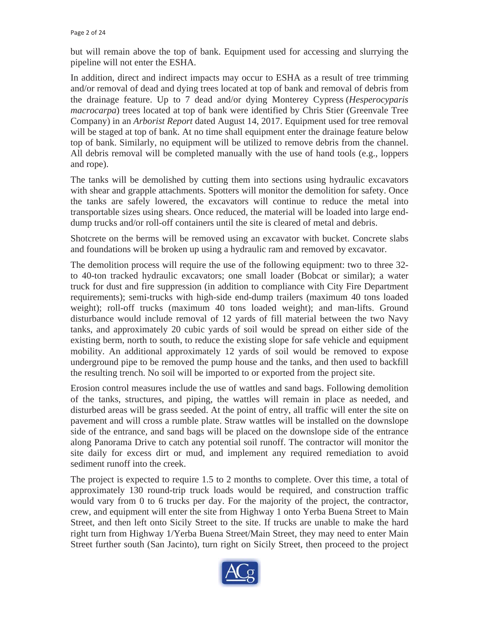but will remain above the top of bank. Equipment used for accessing and slurrying the pipeline will not enter the ESHA.

In addition, direct and indirect impacts may occur to ESHA as a result of tree trimming and/or removal of dead and dying trees located at top of bank and removal of debris from the drainage feature. Up to 7 dead and/or dying Monterey Cypress (*Hesperocyparis macrocarpa*) trees located at top of bank were identified by Chris Stier (Greenvale Tree Company) in an *Arborist Report* dated August 14, 2017. Equipment used for tree removal will be staged at top of bank. At no time shall equipment enter the drainage feature below top of bank. Similarly, no equipment will be utilized to remove debris from the channel. All debris removal will be completed manually with the use of hand tools (e.g., loppers and rope).

The tanks will be demolished by cutting them into sections using hydraulic excavators with shear and grapple attachments. Spotters will monitor the demolition for safety. Once the tanks are safely lowered, the excavators will continue to reduce the metal into transportable sizes using shears. Once reduced, the material will be loaded into large enddump trucks and/or roll-off containers until the site is cleared of metal and debris.

Shotcrete on the berms will be removed using an excavator with bucket. Concrete slabs and foundations will be broken up using a hydraulic ram and removed by excavator.

The demolition process will require the use of the following equipment: two to three 32 to 40-ton tracked hydraulic excavators; one small loader (Bobcat or similar); a water truck for dust and fire suppression (in addition to compliance with City Fire Department requirements); semi-trucks with high-side end-dump trailers (maximum 40 tons loaded weight); roll-off trucks (maximum 40 tons loaded weight); and man-lifts. Ground disturbance would include removal of 12 yards of fill material between the two Navy tanks, and approximately 20 cubic yards of soil would be spread on either side of the existing berm, north to south, to reduce the existing slope for safe vehicle and equipment mobility. An additional approximately 12 yards of soil would be removed to expose underground pipe to be removed the pump house and the tanks, and then used to backfill the resulting trench. No soil will be imported to or exported from the project site.

Erosion control measures include the use of wattles and sand bags. Following demolition of the tanks, structures, and piping, the wattles will remain in place as needed, and disturbed areas will be grass seeded. At the point of entry, all traffic will enter the site on pavement and will cross a rumble plate. Straw wattles will be installed on the downslope side of the entrance, and sand bags will be placed on the downslope side of the entrance along Panorama Drive to catch any potential soil runoff. The contractor will monitor the site daily for excess dirt or mud, and implement any required remediation to avoid sediment runoff into the creek.

The project is expected to require 1.5 to 2 months to complete. Over this time, a total of approximately 130 round-trip truck loads would be required, and construction traffic would vary from 0 to 6 trucks per day. For the majority of the project, the contractor, crew, and equipment will enter the site from Highway 1 onto Yerba Buena Street to Main Street, and then left onto Sicily Street to the site. If trucks are unable to make the hard right turn from Highway 1/Yerba Buena Street/Main Street, they may need to enter Main Street further south (San Jacinto), turn right on Sicily Street, then proceed to the project

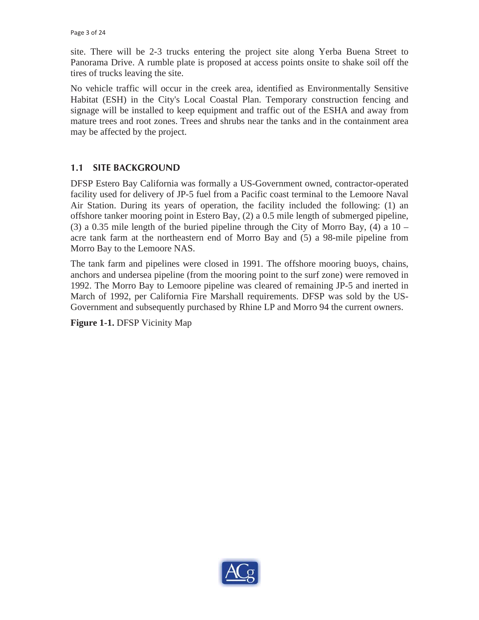site. There will be 2-3 trucks entering the project site along Yerba Buena Street to Panorama Drive. A rumble plate is proposed at access points onsite to shake soil off the tires of trucks leaving the site.

No vehicle traffic will occur in the creek area, identified as Environmentally Sensitive Habitat (ESH) in the City's Local Coastal Plan. Temporary construction fencing and signage will be installed to keep equipment and traffic out of the ESHA and away from mature trees and root zones. Trees and shrubs near the tanks and in the containment area may be affected by the project.

# **1.1 SITE BACKGROUND**

DFSP Estero Bay California was formally a US-Government owned, contractor-operated facility used for delivery of JP-5 fuel from a Pacific coast terminal to the Lemoore Naval Air Station. During its years of operation, the facility included the following: (1) an offshore tanker mooring point in Estero Bay, (2) a 0.5 mile length of submerged pipeline, (3) a 0.35 mile length of the buried pipeline through the City of Morro Bay, (4) a  $10$ acre tank farm at the northeastern end of Morro Bay and (5) a 98-mile pipeline from Morro Bay to the Lemoore NAS.

The tank farm and pipelines were closed in 1991. The offshore mooring buoys, chains, anchors and undersea pipeline (from the mooring point to the surf zone) were removed in 1992. The Morro Bay to Lemoore pipeline was cleared of remaining JP-5 and inerted in March of 1992, per California Fire Marshall requirements. DFSP was sold by the US-Government and subsequently purchased by Rhine LP and Morro 94 the current owners.

**Figure 1-1.** DFSP Vicinity Map

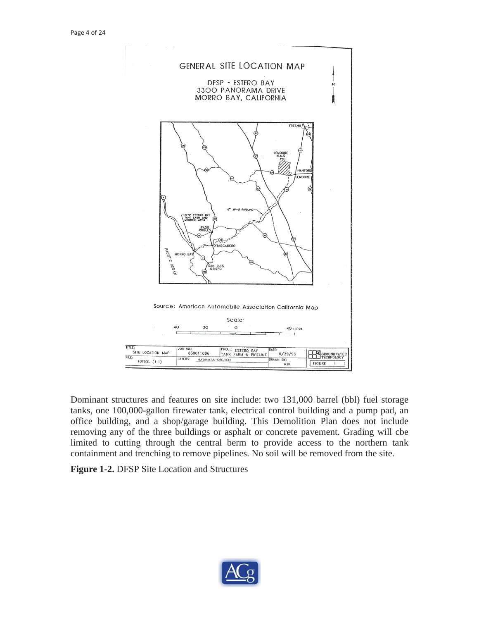

Dominant structures and features on site include: two 131,000 barrel (bbl) fuel storage tanks, one 100,000-gallon firewater tank, electrical control building and a pump pad, an office building, and a shop/garage building. This Demolition Plan does not include removing any of the three buildings or asphalt or concrete pavement. Grading will cbe limited to cutting through the central berm to provide access to the northern tank containment and trenching to remove pipelines. No soil will be removed from the site.

**Figure 1-2.** DFSP Site Location and Structures

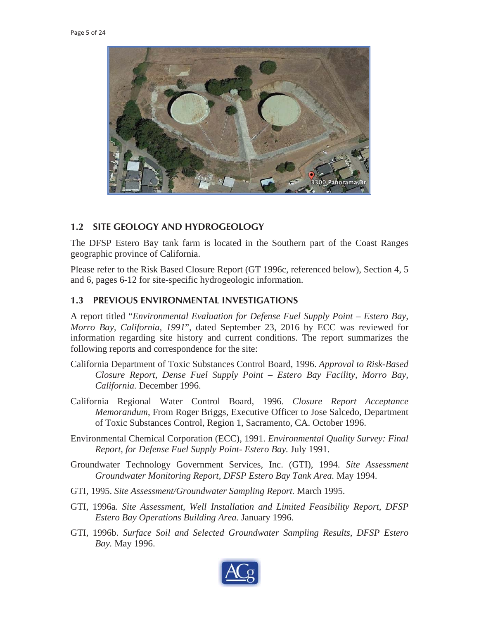

#### **1.2 SITE GEOLOGY AND HYDROGEOLOGY**

The DFSP Estero Bay tank farm is located in the Southern part of the Coast Ranges geographic province of California.

Please refer to the Risk Based Closure Report (GT 1996c, referenced below), Section 4, 5 and 6, pages 6-12 for site-specific hydrogeologic information.

#### **1.3 PREVIOUS ENVIRONMENTAL INVESTIGATIONS**

A report titled "*Environmental Evaluation for Defense Fuel Supply Point – Estero Bay, Morro Bay, California, 1991*", dated September 23, 2016 by ECC was reviewed for information regarding site history and current conditions. The report summarizes the following reports and correspondence for the site:

- California Department of Toxic Substances Control Board, 1996. *Approval to Risk-Based Closure Report, Dense Fuel Supply Point – Estero Bay Facility, Morro Bay, California.* December 1996.
- California Regional Water Control Board, 1996. *Closure Report Acceptance Memorandum*, From Roger Briggs, Executive Officer to Jose Salcedo, Department of Toxic Substances Control, Region 1, Sacramento, CA. October 1996.
- Environmental Chemical Corporation (ECC), 1991. *Environmental Quality Survey: Final Report, for Defense Fuel Supply Point- Estero Bay.* July 1991.
- Groundwater Technology Government Services, Inc. (GTI), 1994. *Site Assessment Groundwater Monitoring Report, DFSP Estero Bay Tank Area.* May 1994.
- GTI, 1995. *Site Assessment/Groundwater Sampling Report.* March 1995.
- GTI, 1996a. *Site Assessment, Well Installation and Limited Feasibility Report, DFSP Estero Bay Operations Building Area.* January 1996.
- GTI, 1996b. *Surface Soil and Selected Groundwater Sampling Results, DFSP Estero Bay.* May 1996.

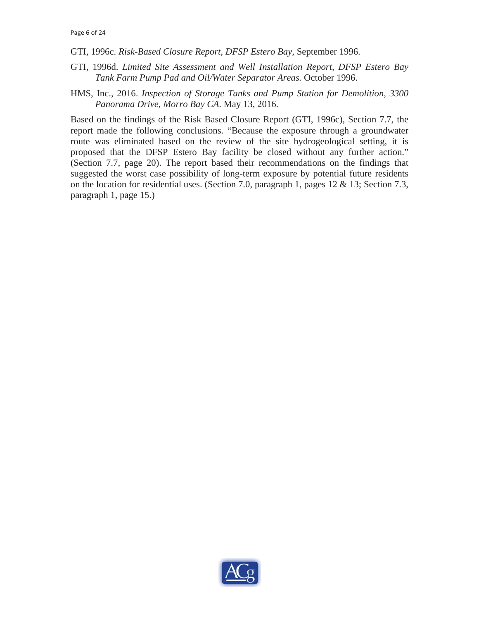- GTI, 1996c. *Risk-Based Closure Report, DFSP Estero Bay,* September 1996.
- GTI, 1996d. *Limited Site Assessment and Well Installation Report, DFSP Estero Bay Tank Farm Pump Pad and Oil/Water Separator Areas.* October 1996.
- HMS, Inc., 2016. *Inspection of Storage Tanks and Pump Station for Demolition, 3300 Panorama Drive, Morro Bay CA*. May 13, 2016.

Based on the findings of the Risk Based Closure Report (GTI, 1996c), Section 7.7, the report made the following conclusions. "Because the exposure through a groundwater route was eliminated based on the review of the site hydrogeological setting, it is proposed that the DFSP Estero Bay facility be closed without any further action." (Section 7.7, page 20). The report based their recommendations on the findings that suggested the worst case possibility of long-term exposure by potential future residents on the location for residential uses. (Section 7.0, paragraph 1, pages 12 & 13; Section 7.3, paragraph 1, page 15.)

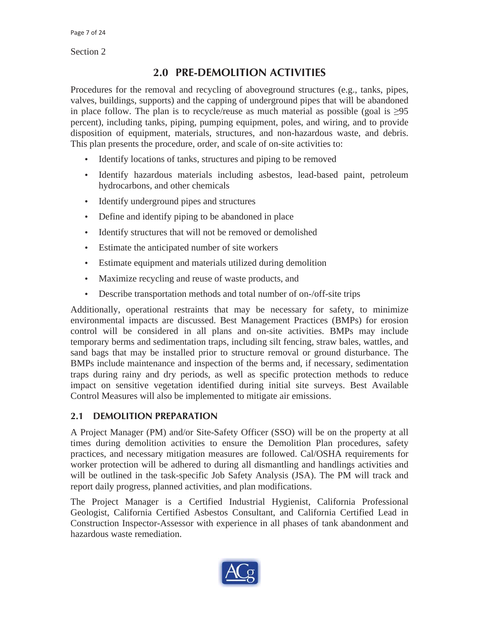Section 2

# **2.0 PRE-DEMOLITION ACTIVITIES**

Procedures for the removal and recycling of aboveground structures (e.g., tanks, pipes, valves, buildings, supports) and the capping of underground pipes that will be abandoned in place follow. The plan is to recycle/reuse as much material as possible (goal is  $\geq 95$ ) percent), including tanks, piping, pumping equipment, poles, and wiring, and to provide disposition of equipment, materials, structures, and non-hazardous waste, and debris. This plan presents the procedure, order, and scale of on-site activities to:

- Identify locations of tanks, structures and piping to be removed
- Identify hazardous materials including asbestos, lead-based paint, petroleum hydrocarbons, and other chemicals
- Identify underground pipes and structures
- Define and identify piping to be abandoned in place
- Identify structures that will not be removed or demolished
- Estimate the anticipated number of site workers
- Estimate equipment and materials utilized during demolition
- Maximize recycling and reuse of waste products, and
- Describe transportation methods and total number of on-/off-site trips

Additionally, operational restraints that may be necessary for safety, to minimize environmental impacts are discussed. Best Management Practices (BMPs) for erosion control will be considered in all plans and on-site activities. BMPs may include temporary berms and sedimentation traps, including silt fencing, straw bales, wattles, and sand bags that may be installed prior to structure removal or ground disturbance. The BMPs include maintenance and inspection of the berms and, if necessary, sedimentation traps during rainy and dry periods, as well as specific protection methods to reduce impact on sensitive vegetation identified during initial site surveys. Best Available Control Measures will also be implemented to mitigate air emissions.

### **2.1 DEMOLITION PREPARATION**

A Project Manager (PM) and/or Site-Safety Officer (SSO) will be on the property at all times during demolition activities to ensure the Demolition Plan procedures, safety practices, and necessary mitigation measures are followed. Cal/OSHA requirements for worker protection will be adhered to during all dismantling and handlings activities and will be outlined in the task-specific Job Safety Analysis (JSA). The PM will track and report daily progress, planned activities, and plan modifications.

The Project Manager is a Certified Industrial Hygienist, California Professional Geologist, California Certified Asbestos Consultant, and California Certified Lead in Construction Inspector-Assessor with experience in all phases of tank abandonment and hazardous waste remediation.

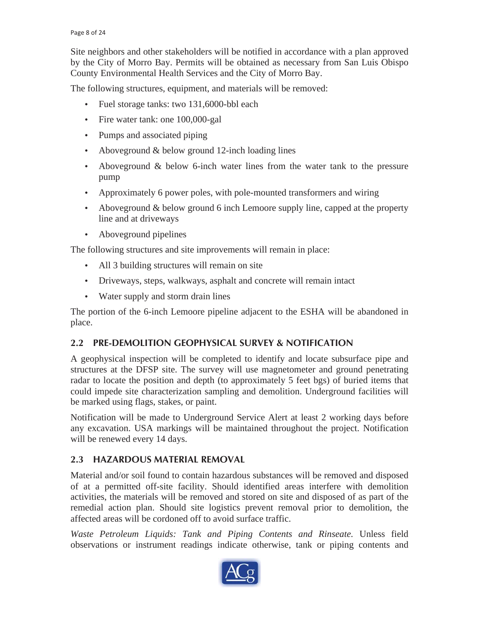Site neighbors and other stakeholders will be notified in accordance with a plan approved by the City of Morro Bay. Permits will be obtained as necessary from San Luis Obispo County Environmental Health Services and the City of Morro Bay.

The following structures, equipment, and materials will be removed:

- Fuel storage tanks: two 131,6000-bbl each
- Fire water tank: one 100,000-gal
- Pumps and associated piping
- Aboveground & below ground 12-inch loading lines
- Aboveground & below 6-inch water lines from the water tank to the pressure pump
- Approximately 6 power poles, with pole-mounted transformers and wiring
- Aboveground & below ground 6 inch Lemoore supply line, capped at the property line and at driveways
- Aboveground pipelines

The following structures and site improvements will remain in place:

- All 3 building structures will remain on site
- Driveways, steps, walkways, asphalt and concrete will remain intact
- Water supply and storm drain lines

The portion of the 6-inch Lemoore pipeline adjacent to the ESHA will be abandoned in place.

# **2.2 PRE-DEMOLITION GEOPHYSICAL SURVEY & NOTIFICATION**

A geophysical inspection will be completed to identify and locate subsurface pipe and structures at the DFSP site. The survey will use magnetometer and ground penetrating radar to locate the position and depth (to approximately 5 feet bgs) of buried items that could impede site characterization sampling and demolition. Underground facilities will be marked using flags, stakes, or paint.

Notification will be made to Underground Service Alert at least 2 working days before any excavation. USA markings will be maintained throughout the project. Notification will be renewed every 14 days.

# **2.3 HAZARDOUS MATERIAL REMOVAL**

Material and/or soil found to contain hazardous substances will be removed and disposed of at a permitted off-site facility. Should identified areas interfere with demolition activities, the materials will be removed and stored on site and disposed of as part of the remedial action plan. Should site logistics prevent removal prior to demolition, the affected areas will be cordoned off to avoid surface traffic.

*Waste Petroleum Liquids: Tank and Piping Contents and Rinseate.* Unless field observations or instrument readings indicate otherwise, tank or piping contents and

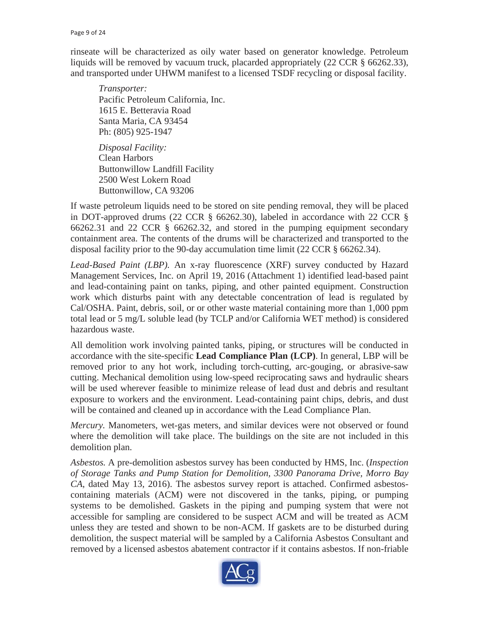rinseate will be characterized as oily water based on generator knowledge. Petroleum liquids will be removed by vacuum truck, placarded appropriately (22 CCR § 66262.33), and transported under UHWM manifest to a licensed TSDF recycling or disposal facility.

*Transporter:*  Pacific Petroleum California, Inc. 1615 E. Betteravia Road Santa Maria, CA 93454 Ph: (805) 925-1947

*Disposal Facility:*  Clean Harbors Buttonwillow Landfill Facility 2500 West Lokern Road Buttonwillow, CA 93206

If waste petroleum liquids need to be stored on site pending removal, they will be placed in DOT-approved drums (22 CCR § 66262.30), labeled in accordance with 22 CCR § 66262.31 and 22 CCR § 66262.32, and stored in the pumping equipment secondary containment area. The contents of the drums will be characterized and transported to the disposal facility prior to the 90-day accumulation time limit (22 CCR § 66262.34).

*Lead-Based Paint (LBP).* An x-ray fluorescence (XRF) survey conducted by Hazard Management Services, Inc. on April 19, 2016 (Attachment 1) identified lead-based paint and lead-containing paint on tanks, piping, and other painted equipment. Construction work which disturbs paint with any detectable concentration of lead is regulated by Cal/OSHA. Paint, debris, soil, or or other waste material containing more than 1,000 ppm total lead or 5 mg/L soluble lead (by TCLP and/or California WET method) is considered hazardous waste.

All demolition work involving painted tanks, piping, or structures will be conducted in accordance with the site-specific **Lead Compliance Plan (LCP)**. In general, LBP will be removed prior to any hot work, including torch-cutting, arc-gouging, or abrasive-saw cutting. Mechanical demolition using low-speed reciprocating saws and hydraulic shears will be used wherever feasible to minimize release of lead dust and debris and resultant exposure to workers and the environment. Lead-containing paint chips, debris, and dust will be contained and cleaned up in accordance with the Lead Compliance Plan.

*Mercury.* Manometers, wet-gas meters, and similar devices were not observed or found where the demolition will take place. The buildings on the site are not included in this demolition plan.

*Asbestos.* A pre-demolition asbestos survey has been conducted by HMS, Inc. (*Inspection of Storage Tanks and Pump Station for Demolition, 3300 Panorama Drive, Morro Bay CA*, dated May 13, 2016). The asbestos survey report is attached. Confirmed asbestoscontaining materials (ACM) were not discovered in the tanks, piping, or pumping systems to be demolished. Gaskets in the piping and pumping system that were not accessible for sampling are considered to be suspect ACM and will be treated as ACM unless they are tested and shown to be non-ACM. If gaskets are to be disturbed during demolition, the suspect material will be sampled by a California Asbestos Consultant and removed by a licensed asbestos abatement contractor if it contains asbestos. If non-friable

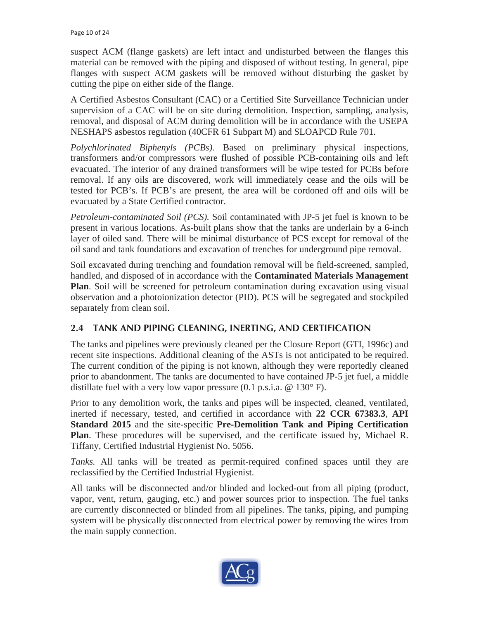suspect ACM (flange gaskets) are left intact and undisturbed between the flanges this material can be removed with the piping and disposed of without testing. In general, pipe flanges with suspect ACM gaskets will be removed without disturbing the gasket by cutting the pipe on either side of the flange.

A Certified Asbestos Consultant (CAC) or a Certified Site Surveillance Technician under supervision of a CAC will be on site during demolition. Inspection, sampling, analysis, removal, and disposal of ACM during demolition will be in accordance with the USEPA NESHAPS asbestos regulation (40CFR 61 Subpart M) and SLOAPCD Rule 701.

*Polychlorinated Biphenyls (PCBs).* Based on preliminary physical inspections, transformers and/or compressors were flushed of possible PCB-containing oils and left evacuated. The interior of any drained transformers will be wipe tested for PCBs before removal. If any oils are discovered, work will immediately cease and the oils will be tested for PCB's. If PCB's are present, the area will be cordoned off and oils will be evacuated by a State Certified contractor.

*Petroleum-contaminated Soil (PCS).* Soil contaminated with JP-5 jet fuel is known to be present in various locations. As-built plans show that the tanks are underlain by a 6-inch layer of oiled sand. There will be minimal disturbance of PCS except for removal of the oil sand and tank foundations and excavation of trenches for underground pipe removal.

Soil excavated during trenching and foundation removal will be field-screened, sampled, handled, and disposed of in accordance with the **Contaminated Materials Management Plan**. Soil will be screened for petroleum contamination during excavation using visual observation and a photoionization detector (PID). PCS will be segregated and stockpiled separately from clean soil.

# **2.4 TANK AND PIPING CLEANING, INERTING, AND CERTIFICATION**

The tanks and pipelines were previously cleaned per the Closure Report (GTI, 1996c) and recent site inspections. Additional cleaning of the ASTs is not anticipated to be required. The current condition of the piping is not known, although they were reportedly cleaned prior to abandonment. The tanks are documented to have contained JP-5 jet fuel, a middle distillate fuel with a very low vapor pressure  $(0.1 \text{ p.s.i.a.} \ @ 130^{\circ} \text{ F}).$ 

Prior to any demolition work, the tanks and pipes will be inspected, cleaned, ventilated, inerted if necessary, tested, and certified in accordance with **22 CCR 67383.3**, **API Standard 2015** and the site-specific **Pre-Demolition Tank and Piping Certification Plan**. These procedures will be supervised, and the certificate issued by, Michael R. Tiffany, Certified Industrial Hygienist No. 5056.

*Tanks.* All tanks will be treated as permit-required confined spaces until they are reclassified by the Certified Industrial Hygienist.

All tanks will be disconnected and/or blinded and locked-out from all piping (product, vapor, vent, return, gauging, etc.) and power sources prior to inspection. The fuel tanks are currently disconnected or blinded from all pipelines. The tanks, piping, and pumping system will be physically disconnected from electrical power by removing the wires from the main supply connection.

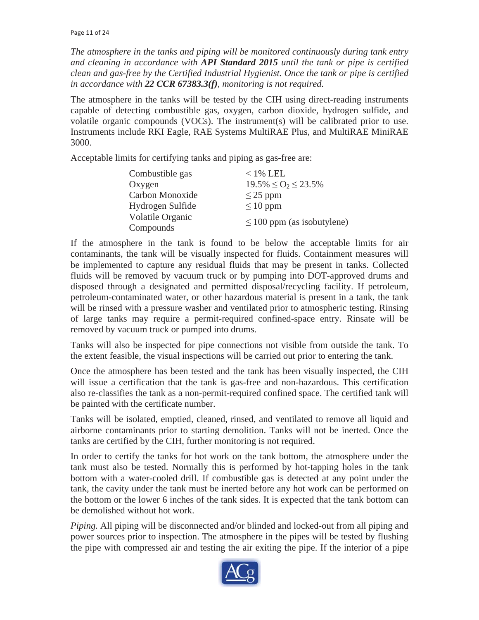*The atmosphere in the tanks and piping will be monitored continuously during tank entry and cleaning in accordance with API Standard 2015 until the tank or pipe is certified clean and gas-free by the Certified Industrial Hygienist. Once the tank or pipe is certified in accordance with 22 CCR 67383.3(f), monitoring is not required.* 

The atmosphere in the tanks will be tested by the CIH using direct-reading instruments capable of detecting combustible gas, oxygen, carbon dioxide, hydrogen sulfide, and volatile organic compounds (VOCs). The instrument(s) will be calibrated prior to use. Instruments include RKI Eagle, RAE Systems MultiRAE Plus, and MultiRAE MiniRAE 3000.

Acceptable limits for certifying tanks and piping as gas-free are:

| Combustible gas  | $<$ 1% LEL                      |  |
|------------------|---------------------------------|--|
| Oxygen           | $19.5\% \leq O_2 \leq 23.5\%$   |  |
| Carbon Monoxide  | $\leq$ 25 ppm                   |  |
| Hydrogen Sulfide | $\leq 10$ ppm                   |  |
| Volatile Organic | $\leq 100$ ppm (as isobutylene) |  |
| Compounds        |                                 |  |

If the atmosphere in the tank is found to be below the acceptable limits for air contaminants, the tank will be visually inspected for fluids. Containment measures will be implemented to capture any residual fluids that may be present in tanks. Collected fluids will be removed by vacuum truck or by pumping into DOT-approved drums and disposed through a designated and permitted disposal/recycling facility. If petroleum, petroleum-contaminated water, or other hazardous material is present in a tank, the tank will be rinsed with a pressure washer and ventilated prior to atmospheric testing. Rinsing of large tanks may require a permit-required confined-space entry. Rinsate will be removed by vacuum truck or pumped into drums.

Tanks will also be inspected for pipe connections not visible from outside the tank. To the extent feasible, the visual inspections will be carried out prior to entering the tank.

Once the atmosphere has been tested and the tank has been visually inspected, the CIH will issue a certification that the tank is gas-free and non-hazardous. This certification also re-classifies the tank as a non-permit-required confined space. The certified tank will be painted with the certificate number.

Tanks will be isolated, emptied, cleaned, rinsed, and ventilated to remove all liquid and airborne contaminants prior to starting demolition. Tanks will not be inerted. Once the tanks are certified by the CIH, further monitoring is not required.

In order to certify the tanks for hot work on the tank bottom, the atmosphere under the tank must also be tested. Normally this is performed by hot-tapping holes in the tank bottom with a water-cooled drill. If combustible gas is detected at any point under the tank, the cavity under the tank must be inerted before any hot work can be performed on the bottom or the lower 6 inches of the tank sides. It is expected that the tank bottom can be demolished without hot work.

*Piping.* All piping will be disconnected and/or blinded and locked-out from all piping and power sources prior to inspection. The atmosphere in the pipes will be tested by flushing the pipe with compressed air and testing the air exiting the pipe. If the interior of a pipe

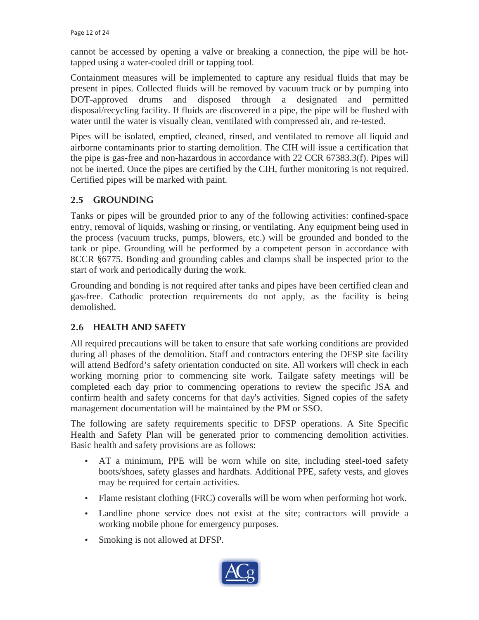cannot be accessed by opening a valve or breaking a connection, the pipe will be hottapped using a water-cooled drill or tapping tool.

Containment measures will be implemented to capture any residual fluids that may be present in pipes. Collected fluids will be removed by vacuum truck or by pumping into DOT-approved drums and disposed through a designated and permitted disposal/recycling facility. If fluids are discovered in a pipe, the pipe will be flushed with water until the water is visually clean, ventilated with compressed air, and re-tested.

Pipes will be isolated, emptied, cleaned, rinsed, and ventilated to remove all liquid and airborne contaminants prior to starting demolition. The CIH will issue a certification that the pipe is gas-free and non-hazardous in accordance with 22 CCR 67383.3(f). Pipes will not be inerted. Once the pipes are certified by the CIH, further monitoring is not required. Certified pipes will be marked with paint.

### **2.5 GROUNDING**

Tanks or pipes will be grounded prior to any of the following activities: confined-space entry, removal of liquids, washing or rinsing, or ventilating. Any equipment being used in the process (vacuum trucks, pumps, blowers, etc.) will be grounded and bonded to the tank or pipe. Grounding will be performed by a competent person in accordance with 8CCR §6775. Bonding and grounding cables and clamps shall be inspected prior to the start of work and periodically during the work.

Grounding and bonding is not required after tanks and pipes have been certified clean and gas-free. Cathodic protection requirements do not apply, as the facility is being demolished.

### **2.6 HEALTH AND SAFETY**

All required precautions will be taken to ensure that safe working conditions are provided during all phases of the demolition. Staff and contractors entering the DFSP site facility will attend Bedford's safety orientation conducted on site. All workers will check in each working morning prior to commencing site work. Tailgate safety meetings will be completed each day prior to commencing operations to review the specific JSA and confirm health and safety concerns for that day's activities. Signed copies of the safety management documentation will be maintained by the PM or SSO.

The following are safety requirements specific to DFSP operations. A Site Specific Health and Safety Plan will be generated prior to commencing demolition activities. Basic health and safety provisions are as follows:

- AT a minimum, PPE will be worn while on site, including steel-toed safety boots/shoes, safety glasses and hardhats. Additional PPE, safety vests, and gloves may be required for certain activities.
- Flame resistant clothing (FRC) coveralls will be worn when performing hot work.
- Landline phone service does not exist at the site; contractors will provide a working mobile phone for emergency purposes.
- Smoking is not allowed at DFSP.

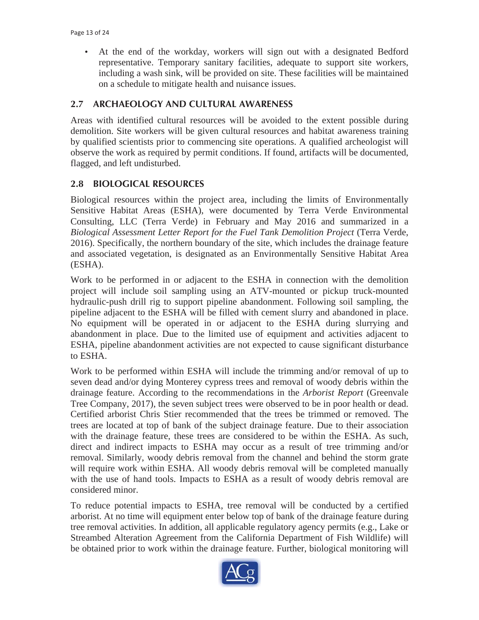• At the end of the workday, workers will sign out with a designated Bedford representative. Temporary sanitary facilities, adequate to support site workers, including a wash sink, will be provided on site. These facilities will be maintained on a schedule to mitigate health and nuisance issues.

### **2.7 ARCHAEOLOGY AND CULTURAL AWARENESS**

Areas with identified cultural resources will be avoided to the extent possible during demolition. Site workers will be given cultural resources and habitat awareness training by qualified scientists prior to commencing site operations. A qualified archeologist will observe the work as required by permit conditions. If found, artifacts will be documented, flagged, and left undisturbed.

#### **2.8 BIOLOGICAL RESOURCES**

Biological resources within the project area, including the limits of Environmentally Sensitive Habitat Areas (ESHA), were documented by Terra Verde Environmental Consulting, LLC (Terra Verde) in February and May 2016 and summarized in a *Biological Assessment Letter Report for the Fuel Tank Demolition Project* (Terra Verde, 2016). Specifically, the northern boundary of the site, which includes the drainage feature and associated vegetation, is designated as an Environmentally Sensitive Habitat Area (ESHA).

Work to be performed in or adjacent to the ESHA in connection with the demolition project will include soil sampling using an ATV-mounted or pickup truck-mounted hydraulic-push drill rig to support pipeline abandonment. Following soil sampling, the pipeline adjacent to the ESHA will be filled with cement slurry and abandoned in place. No equipment will be operated in or adjacent to the ESHA during slurrying and abandonment in place. Due to the limited use of equipment and activities adjacent to ESHA, pipeline abandonment activities are not expected to cause significant disturbance to ESHA.

Work to be performed within ESHA will include the trimming and/or removal of up to seven dead and/or dying Monterey cypress trees and removal of woody debris within the drainage feature. According to the recommendations in the *Arborist Report* (Greenvale Tree Company, 2017), the seven subject trees were observed to be in poor health or dead. Certified arborist Chris Stier recommended that the trees be trimmed or removed. The trees are located at top of bank of the subject drainage feature. Due to their association with the drainage feature, these trees are considered to be within the ESHA. As such, direct and indirect impacts to ESHA may occur as a result of tree trimming and/or removal. Similarly, woody debris removal from the channel and behind the storm grate will require work within ESHA. All woody debris removal will be completed manually with the use of hand tools. Impacts to ESHA as a result of woody debris removal are considered minor.

To reduce potential impacts to ESHA, tree removal will be conducted by a certified arborist. At no time will equipment enter below top of bank of the drainage feature during tree removal activities. In addition, all applicable regulatory agency permits (e.g., Lake or Streambed Alteration Agreement from the California Department of Fish Wildlife) will be obtained prior to work within the drainage feature. Further, biological monitoring will

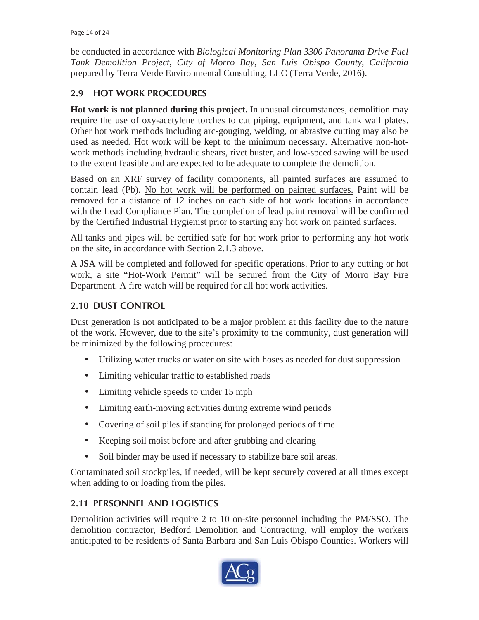be conducted in accordance with *Biological Monitoring Plan 3300 Panorama Drive Fuel Tank Demolition Project, City of Morro Bay, San Luis Obispo County, California*  prepared by Terra Verde Environmental Consulting, LLC (Terra Verde, 2016).

# **2.9 HOT WORK PROCEDURES**

**Hot work is not planned during this project.** In unusual circumstances, demolition may require the use of oxy-acetylene torches to cut piping, equipment, and tank wall plates. Other hot work methods including arc-gouging, welding, or abrasive cutting may also be used as needed. Hot work will be kept to the minimum necessary. Alternative non-hotwork methods including hydraulic shears, rivet buster, and low-speed sawing will be used to the extent feasible and are expected to be adequate to complete the demolition.

Based on an XRF survey of facility components, all painted surfaces are assumed to contain lead (Pb). No hot work will be performed on painted surfaces. Paint will be removed for a distance of 12 inches on each side of hot work locations in accordance with the Lead Compliance Plan. The completion of lead paint removal will be confirmed by the Certified Industrial Hygienist prior to starting any hot work on painted surfaces.

All tanks and pipes will be certified safe for hot work prior to performing any hot work on the site, in accordance with Section 2.1.3 above.

A JSA will be completed and followed for specific operations. Prior to any cutting or hot work, a site "Hot-Work Permit" will be secured from the City of Morro Bay Fire Department. A fire watch will be required for all hot work activities.

# **2.10 DUST CONTROL**

Dust generation is not anticipated to be a major problem at this facility due to the nature of the work. However, due to the site's proximity to the community, dust generation will be minimized by the following procedures:

- Utilizing water trucks or water on site with hoses as needed for dust suppression
- Limiting vehicular traffic to established roads
- Limiting vehicle speeds to under 15 mph
- Limiting earth-moving activities during extreme wind periods
- Covering of soil piles if standing for prolonged periods of time
- Keeping soil moist before and after grubbing and clearing
- Soil binder may be used if necessary to stabilize bare soil areas.

Contaminated soil stockpiles, if needed, will be kept securely covered at all times except when adding to or loading from the piles.

### **2.11 PERSONNEL AND LOGISTICS**

Demolition activities will require 2 to 10 on-site personnel including the PM/SSO. The demolition contractor, Bedford Demolition and Contracting, will employ the workers anticipated to be residents of Santa Barbara and San Luis Obispo Counties. Workers will

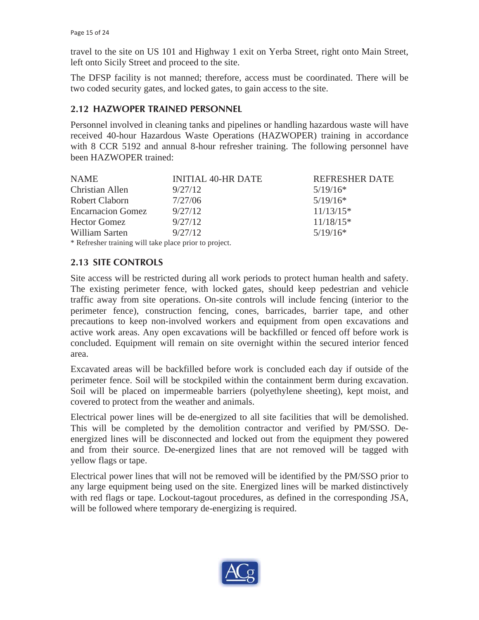travel to the site on US 101 and Highway 1 exit on Yerba Street, right onto Main Street, left onto Sicily Street and proceed to the site.

The DFSP facility is not manned; therefore, access must be coordinated. There will be two coded security gates, and locked gates, to gain access to the site.

### **2.12 HAZWOPER TRAINED PERSONNEL**

Personnel involved in cleaning tanks and pipelines or handling hazardous waste will have received 40-hour Hazardous Waste Operations (HAZWOPER) training in accordance with 8 CCR 5192 and annual 8-hour refresher training. The following personnel have been HAZWOPER trained:

| <b>NAME</b>                                            | <b>INITIAL 40-HR DATE</b> | <b>REFRESHER DATE</b> |
|--------------------------------------------------------|---------------------------|-----------------------|
| Christian Allen                                        | 9/27/12                   | $5/19/16*$            |
| Robert Claborn                                         | 7/27/06                   | $5/19/16*$            |
| <b>Encarnacion Gomez</b>                               | 9/27/12                   | $11/13/15*$           |
| <b>Hector Gomez</b>                                    | 9/27/12                   | $11/18/15*$           |
| William Sarten                                         | 9/27/12                   | $5/19/16*$            |
| * Refresher training will take place prior to project. |                           |                       |

### **2.13 SITE CONTROLS**

Site access will be restricted during all work periods to protect human health and safety. The existing perimeter fence, with locked gates, should keep pedestrian and vehicle traffic away from site operations. On-site controls will include fencing (interior to the perimeter fence), construction fencing, cones, barricades, barrier tape, and other precautions to keep non-involved workers and equipment from open excavations and active work areas. Any open excavations will be backfilled or fenced off before work is concluded. Equipment will remain on site overnight within the secured interior fenced area.

Excavated areas will be backfilled before work is concluded each day if outside of the perimeter fence. Soil will be stockpiled within the containment berm during excavation. Soil will be placed on impermeable barriers (polyethylene sheeting), kept moist, and covered to protect from the weather and animals.

Electrical power lines will be de-energized to all site facilities that will be demolished. This will be completed by the demolition contractor and verified by PM/SSO. Deenergized lines will be disconnected and locked out from the equipment they powered and from their source. De-energized lines that are not removed will be tagged with yellow flags or tape.

Electrical power lines that will not be removed will be identified by the PM/SSO prior to any large equipment being used on the site. Energized lines will be marked distinctively with red flags or tape. Lockout-tagout procedures, as defined in the corresponding JSA, will be followed where temporary de-energizing is required.

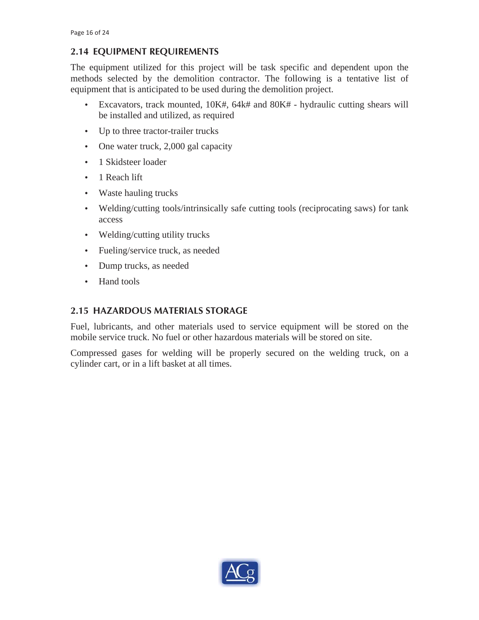# **2.14 EQUIPMENT REQUIREMENTS**

The equipment utilized for this project will be task specific and dependent upon the methods selected by the demolition contractor. The following is a tentative list of equipment that is anticipated to be used during the demolition project.

- Excavators, track mounted, 10K#, 64k# and 80K# hydraulic cutting shears will be installed and utilized, as required
- Up to three tractor-trailer trucks
- One water truck, 2,000 gal capacity
- 1 Skidsteer loader
- 1 Reach lift
- Waste hauling trucks
- Welding/cutting tools/intrinsically safe cutting tools (reciprocating saws) for tank access
- Welding/cutting utility trucks
- Fueling/service truck, as needed
- Dump trucks, as needed
- Hand tools

#### **2.15 HAZARDOUS MATERIALS STORAGE**

Fuel, lubricants, and other materials used to service equipment will be stored on the mobile service truck. No fuel or other hazardous materials will be stored on site.

Compressed gases for welding will be properly secured on the welding truck, on a cylinder cart, or in a lift basket at all times.

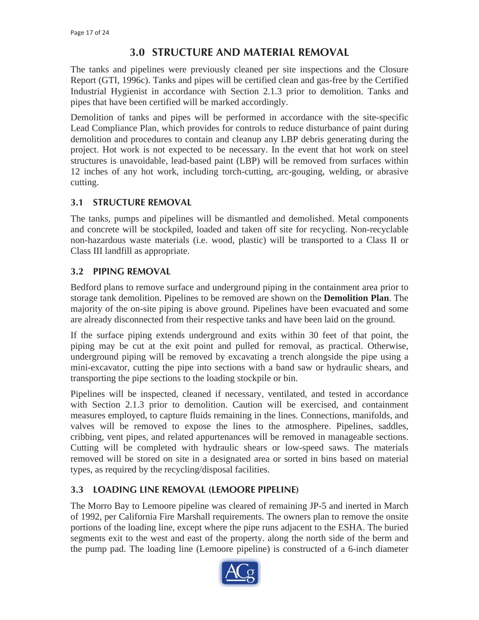# **3.0 STRUCTURE AND MATERIAL REMOVAL**

The tanks and pipelines were previously cleaned per site inspections and the Closure Report (GTI, 1996c). Tanks and pipes will be certified clean and gas-free by the Certified Industrial Hygienist in accordance with Section 2.1.3 prior to demolition. Tanks and pipes that have been certified will be marked accordingly.

Demolition of tanks and pipes will be performed in accordance with the site-specific Lead Compliance Plan, which provides for controls to reduce disturbance of paint during demolition and procedures to contain and cleanup any LBP debris generating during the project. Hot work is not expected to be necessary. In the event that hot work on steel structures is unavoidable, lead-based paint (LBP) will be removed from surfaces within 12 inches of any hot work, including torch-cutting, arc-gouging, welding, or abrasive cutting.

# **3.1 STRUCTURE REMOVAL**

The tanks, pumps and pipelines will be dismantled and demolished. Metal components and concrete will be stockpiled, loaded and taken off site for recycling. Non-recyclable non-hazardous waste materials (i.e. wood, plastic) will be transported to a Class II or Class III landfill as appropriate.

### **3.2 PIPING REMOVAL**

Bedford plans to remove surface and underground piping in the containment area prior to storage tank demolition. Pipelines to be removed are shown on the **Demolition Plan**. The majority of the on-site piping is above ground. Pipelines have been evacuated and some are already disconnected from their respective tanks and have been laid on the ground.

If the surface piping extends underground and exits within 30 feet of that point, the piping may be cut at the exit point and pulled for removal, as practical. Otherwise, underground piping will be removed by excavating a trench alongside the pipe using a mini-excavator, cutting the pipe into sections with a band saw or hydraulic shears, and transporting the pipe sections to the loading stockpile or bin.

Pipelines will be inspected, cleaned if necessary, ventilated, and tested in accordance with Section 2.1.3 prior to demolition. Caution will be exercised, and containment measures employed, to capture fluids remaining in the lines. Connections, manifolds, and valves will be removed to expose the lines to the atmosphere. Pipelines, saddles, cribbing, vent pipes, and related appurtenances will be removed in manageable sections. Cutting will be completed with hydraulic shears or low-speed saws. The materials removed will be stored on site in a designated area or sorted in bins based on material types, as required by the recycling/disposal facilities.

### **3.3 LOADING LINE REMOVAL (LEMOORE PIPELINE)**

The Morro Bay to Lemoore pipeline was cleared of remaining JP-5 and inerted in March of 1992, per California Fire Marshall requirements. The owners plan to remove the onsite portions of the loading line, except where the pipe runs adjacent to the ESHA. The buried segments exit to the west and east of the property. along the north side of the berm and the pump pad. The loading line (Lemoore pipeline) is constructed of a 6-inch diameter

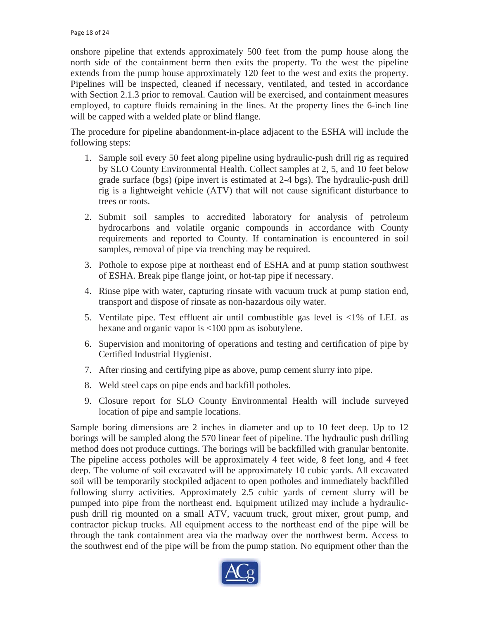onshore pipeline that extends approximately 500 feet from the pump house along the north side of the containment berm then exits the property. To the west the pipeline extends from the pump house approximately 120 feet to the west and exits the property. Pipelines will be inspected, cleaned if necessary, ventilated, and tested in accordance with Section 2.1.3 prior to removal. Caution will be exercised, and containment measures employed, to capture fluids remaining in the lines. At the property lines the 6-inch line will be capped with a welded plate or blind flange.

The procedure for pipeline abandonment-in-place adjacent to the ESHA will include the following steps:

- 1. Sample soil every 50 feet along pipeline using hydraulic-push drill rig as required by SLO County Environmental Health. Collect samples at 2, 5, and 10 feet below grade surface (bgs) (pipe invert is estimated at 2-4 bgs). The hydraulic-push drill rig is a lightweight vehicle (ATV) that will not cause significant disturbance to trees or roots.
- 2. Submit soil samples to accredited laboratory for analysis of petroleum hydrocarbons and volatile organic compounds in accordance with County requirements and reported to County. If contamination is encountered in soil samples, removal of pipe via trenching may be required.
- 3. Pothole to expose pipe at northeast end of ESHA and at pump station southwest of ESHA. Break pipe flange joint, or hot-tap pipe if necessary.
- 4. Rinse pipe with water, capturing rinsate with vacuum truck at pump station end, transport and dispose of rinsate as non-hazardous oily water.
- 5. Ventilate pipe. Test effluent air until combustible gas level is <1% of LEL as hexane and organic vapor is <100 ppm as isobutylene.
- 6. Supervision and monitoring of operations and testing and certification of pipe by Certified Industrial Hygienist.
- 7. After rinsing and certifying pipe as above, pump cement slurry into pipe.
- 8. Weld steel caps on pipe ends and backfill potholes.
- 9. Closure report for SLO County Environmental Health will include surveyed location of pipe and sample locations.

Sample boring dimensions are 2 inches in diameter and up to 10 feet deep. Up to 12 borings will be sampled along the 570 linear feet of pipeline. The hydraulic push drilling method does not produce cuttings. The borings will be backfilled with granular bentonite. The pipeline access potholes will be approximately 4 feet wide, 8 feet long, and 4 feet deep. The volume of soil excavated will be approximately 10 cubic yards. All excavated soil will be temporarily stockpiled adjacent to open potholes and immediately backfilled following slurry activities. Approximately 2.5 cubic yards of cement slurry will be pumped into pipe from the northeast end. Equipment utilized may include a hydraulicpush drill rig mounted on a small ATV, vacuum truck, grout mixer, grout pump, and contractor pickup trucks. All equipment access to the northeast end of the pipe will be through the tank containment area via the roadway over the northwest berm. Access to the southwest end of the pipe will be from the pump station. No equipment other than the

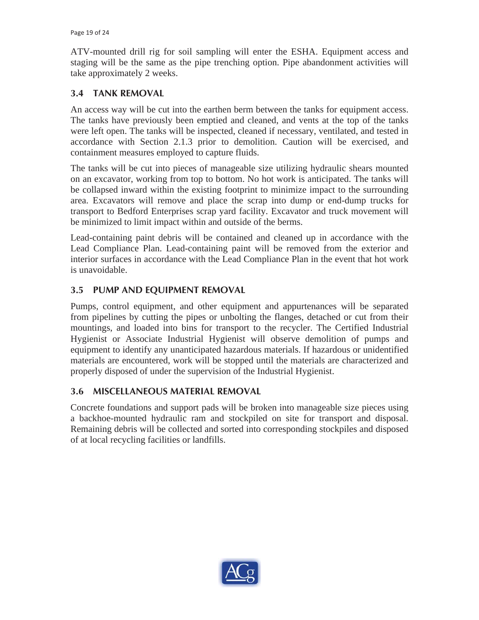ATV-mounted drill rig for soil sampling will enter the ESHA. Equipment access and staging will be the same as the pipe trenching option. Pipe abandonment activities will take approximately 2 weeks.

# **3.4 TANK REMOVAL**

An access way will be cut into the earthen berm between the tanks for equipment access. The tanks have previously been emptied and cleaned, and vents at the top of the tanks were left open. The tanks will be inspected, cleaned if necessary, ventilated, and tested in accordance with Section 2.1.3 prior to demolition. Caution will be exercised, and containment measures employed to capture fluids.

The tanks will be cut into pieces of manageable size utilizing hydraulic shears mounted on an excavator, working from top to bottom. No hot work is anticipated. The tanks will be collapsed inward within the existing footprint to minimize impact to the surrounding area. Excavators will remove and place the scrap into dump or end-dump trucks for transport to Bedford Enterprises scrap yard facility. Excavator and truck movement will be minimized to limit impact within and outside of the berms.

Lead-containing paint debris will be contained and cleaned up in accordance with the Lead Compliance Plan. Lead-containing paint will be removed from the exterior and interior surfaces in accordance with the Lead Compliance Plan in the event that hot work is unavoidable.

# **3.5 PUMP AND EQUIPMENT REMOVAL**

Pumps, control equipment, and other equipment and appurtenances will be separated from pipelines by cutting the pipes or unbolting the flanges, detached or cut from their mountings, and loaded into bins for transport to the recycler. The Certified Industrial Hygienist or Associate Industrial Hygienist will observe demolition of pumps and equipment to identify any unanticipated hazardous materials. If hazardous or unidentified materials are encountered, work will be stopped until the materials are characterized and properly disposed of under the supervision of the Industrial Hygienist.

### **3.6 MISCELLANEOUS MATERIAL REMOVAL**

Concrete foundations and support pads will be broken into manageable size pieces using a backhoe-mounted hydraulic ram and stockpiled on site for transport and disposal. Remaining debris will be collected and sorted into corresponding stockpiles and disposed of at local recycling facilities or landfills.

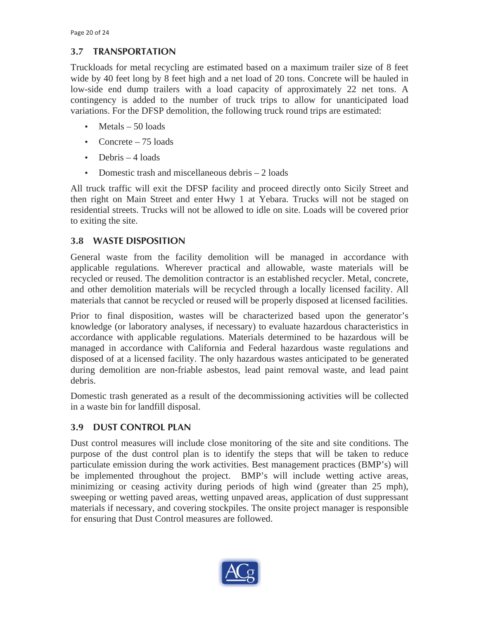# **3.7 TRANSPORTATION**

Truckloads for metal recycling are estimated based on a maximum trailer size of 8 feet wide by 40 feet long by 8 feet high and a net load of 20 tons. Concrete will be hauled in low-side end dump trailers with a load capacity of approximately 22 net tons. A contingency is added to the number of truck trips to allow for unanticipated load variations. For the DFSP demolition, the following truck round trips are estimated:

- Metals 50 loads
- Concrete 75 loads
- Debris 4 loads
- Domestic trash and miscellaneous debris 2 loads

All truck traffic will exit the DFSP facility and proceed directly onto Sicily Street and then right on Main Street and enter Hwy 1 at Yebara. Trucks will not be staged on residential streets. Trucks will not be allowed to idle on site. Loads will be covered prior to exiting the site.

# **3.8 WASTE DISPOSITION**

General waste from the facility demolition will be managed in accordance with applicable regulations. Wherever practical and allowable, waste materials will be recycled or reused. The demolition contractor is an established recycler. Metal, concrete, and other demolition materials will be recycled through a locally licensed facility. All materials that cannot be recycled or reused will be properly disposed at licensed facilities.

Prior to final disposition, wastes will be characterized based upon the generator's knowledge (or laboratory analyses, if necessary) to evaluate hazardous characteristics in accordance with applicable regulations. Materials determined to be hazardous will be managed in accordance with California and Federal hazardous waste regulations and disposed of at a licensed facility. The only hazardous wastes anticipated to be generated during demolition are non-friable asbestos, lead paint removal waste, and lead paint debris.

Domestic trash generated as a result of the decommissioning activities will be collected in a waste bin for landfill disposal.

# **3.9 DUST CONTROL PLAN**

Dust control measures will include close monitoring of the site and site conditions. The purpose of the dust control plan is to identify the steps that will be taken to reduce particulate emission during the work activities. Best management practices (BMP's) will be implemented throughout the project. BMP's will include wetting active areas, minimizing or ceasing activity during periods of high wind (greater than 25 mph), sweeping or wetting paved areas, wetting unpaved areas, application of dust suppressant materials if necessary, and covering stockpiles. The onsite project manager is responsible for ensuring that Dust Control measures are followed.